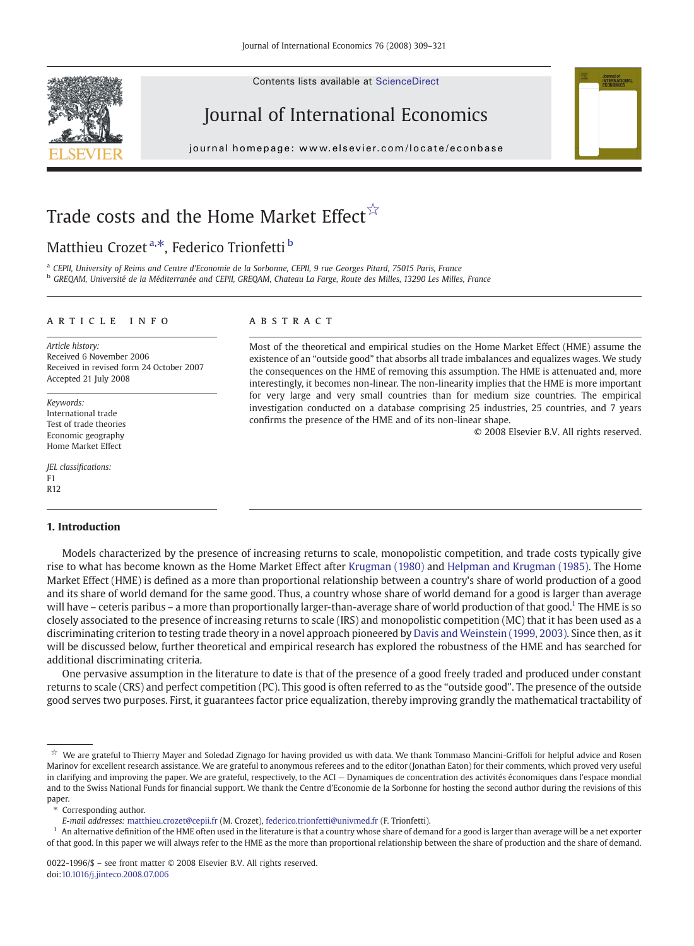Contents lists available at ScienceDirect





j o u r n a l h om e p a g e : www. e l s ev i e r. c om / l o c a t e / e c o n b a s e

# Trade costs and the Home Market Effect $\vec{X}$

### Matthieu Crozet <sup>a,\*</sup>, Federico Trionfetti <sup>b</sup>

<sup>a</sup> CEPII, University of Reims and Centre d'Economie de la Sorbonne, CEPII, 9 rue Georges Pitard, 75015 Paris, France <sup>b</sup> GREQAM, Université de la Méditerranée and CEPII, GREQAM, Chateau La Farge, Route des Milles, 13290 Les Milles, France

#### article info abstract

Article history: Received 6 November 2006 Received in revised form 24 October 2007 Accepted 21 July 2008

Keywords: International trade Test of trade theories Economic geography Home Market Effect

JEL classifications: F1 R<sub>12</sub>

#### 1. Introduction

Most of the theoretical and empirical studies on the Home Market Effect (HME) assume the existence of an "outside good" that absorbs all trade imbalances and equalizes wages. We study the consequences on the HME of removing this assumption. The HME is attenuated and, more interestingly, it becomes non-linear. The non-linearity implies that the HME is more important for very large and very small countries than for medium size countries. The empirical investigation conducted on a database comprising 25 industries, 25 countries, and 7 years confirms the presence of the HME and of its non-linear shape.

© 2008 Elsevier B.V. All rights reserved.

Models characterized by the presence of increasing returns to scale, monopolistic competition, and trade costs typically give rise to what has become known as the Home Market Effect after [Krugman \(1980\)](#page--1-0) and [Helpman and Krugman \(1985\).](#page--1-0) The Home Market Effect (HME) is defined as a more than proportional relationship between a country's share of world production of a good and its share of world demand for the same good. Thus, a country whose share of world demand for a good is larger than average will have – ceteris paribus – a more than proportionally larger-than-average share of world production of that good.<sup>1</sup> The HME is so closely associated to the presence of increasing returns to scale (IRS) and monopolistic competition (MC) that it has been used as a discriminating criterion to testing trade theory in a novel approach pioneered by [Davis and Weinstein \(1999, 2003\).](#page--1-0) Since then, as it will be discussed below, further theoretical and empirical research has explored the robustness of the HME and has searched for additional discriminating criteria.

One pervasive assumption in the literature to date is that of the presence of a good freely traded and produced under constant returns to scale (CRS) and perfect competition (PC). This good is often referred to as the "outside good". The presence of the outside good serves two purposes. First, it guarantees factor price equalization, thereby improving grandly the mathematical tractability of

 $\dot{\tilde{\mathbf{x}}}$  We are grateful to Thierry Mayer and Soledad Zignago for having provided us with data. We thank Tommaso Mancini-Griffoli for helpful advice and Rosen Marinov for excellent research assistance. We are grateful to anonymous referees and to the editor (Jonathan Eaton) for their comments, which proved very useful in clarifying and improving the paper. We are grateful, respectively, to the ACI — Dynamiques de concentration des activités économiques dans l'espace mondial and to the Swiss National Funds for financial support. We thank the Centre d'Economie de la Sorbonne for hosting the second author during the revisions of this paper.

Corresponding author.

E-mail addresses: [matthieu.crozet@cepii.fr](mailto:matthieu.crozet@cepii.fr) (M. Crozet), [federico.trionfetti@univmed.fr](mailto:federico.trionfetti@univmed.fr) (F. Trionfetti).

 $1$  An alternative definition of the HME often used in the literature is that a country whose share of demand for a good is larger than average will be a net exporter of that good. In this paper we will always refer to the HME as the more than proportional relationship between the share of production and the share of demand.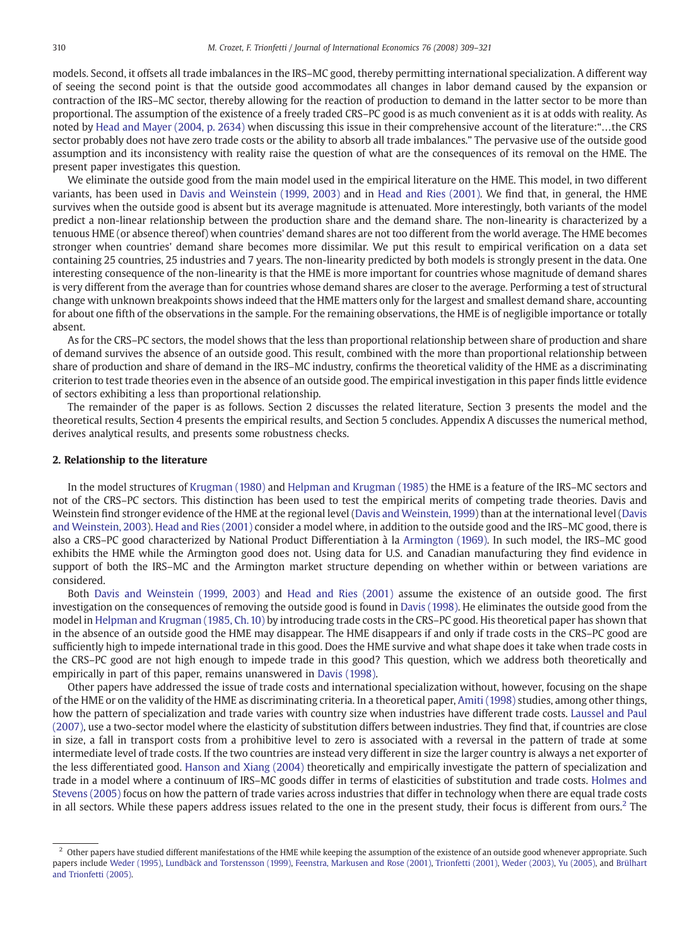models. Second, it offsets all trade imbalances in the IRS–MC good, thereby permitting international specialization. A different way of seeing the second point is that the outside good accommodates all changes in labor demand caused by the expansion or contraction of the IRS–MC sector, thereby allowing for the reaction of production to demand in the latter sector to be more than proportional. The assumption of the existence of a freely traded CRS–PC good is as much convenient as it is at odds with reality. As noted by [Head and Mayer \(2004, p. 2634\)](#page--1-0) when discussing this issue in their comprehensive account of the literature:"…the CRS sector probably does not have zero trade costs or the ability to absorb all trade imbalances." The pervasive use of the outside good assumption and its inconsistency with reality raise the question of what are the consequences of its removal on the HME. The present paper investigates this question.

We eliminate the outside good from the main model used in the empirical literature on the HME. This model, in two different variants, has been used in [Davis and Weinstein \(1999, 2003\)](#page--1-0) and in [Head and Ries \(2001\)](#page--1-0). We find that, in general, the HME survives when the outside good is absent but its average magnitude is attenuated. More interestingly, both variants of the model predict a non-linear relationship between the production share and the demand share. The non-linearity is characterized by a tenuous HME (or absence thereof) when countries' demand shares are not too different from the world average. The HME becomes stronger when countries' demand share becomes more dissimilar. We put this result to empirical verification on a data set containing 25 countries, 25 industries and 7 years. The non-linearity predicted by both models is strongly present in the data. One interesting consequence of the non-linearity is that the HME is more important for countries whose magnitude of demand shares is very different from the average than for countries whose demand shares are closer to the average. Performing a test of structural change with unknown breakpoints shows indeed that the HME matters only for the largest and smallest demand share, accounting for about one fifth of the observations in the sample. For the remaining observations, the HME is of negligible importance or totally absent.

As for the CRS–PC sectors, the model shows that the less than proportional relationship between share of production and share of demand survives the absence of an outside good. This result, combined with the more than proportional relationship between share of production and share of demand in the IRS–MC industry, confirms the theoretical validity of the HME as a discriminating criterion to test trade theories even in the absence of an outside good. The empirical investigation in this paper finds little evidence of sectors exhibiting a less than proportional relationship.

The remainder of the paper is as follows. Section 2 discusses the related literature, Section 3 presents the model and the theoretical results, Section 4 presents the empirical results, and Section 5 concludes. Appendix A discusses the numerical method, derives analytical results, and presents some robustness checks.

### 2. Relationship to the literature

In the model structures of [Krugman \(1980\)](#page--1-0) and [Helpman and Krugman \(1985\)](#page--1-0) the HME is a feature of the IRS–MC sectors and not of the CRS–PC sectors. This distinction has been used to test the empirical merits of competing trade theories. Davis and Weinstein find stronger evidence of the HME at the regional level ([Davis and Weinstein, 1999](#page--1-0)) than at the international level ([Davis](#page--1-0) [and Weinstein, 2003](#page--1-0)). [Head and Ries \(2001\)](#page--1-0) consider a model where, in addition to the outside good and the IRS–MC good, there is also a CRS–PC good characterized by National Product Differentiation à la [Armington \(1969\).](#page--1-0) In such model, the IRS–MC good exhibits the HME while the Armington good does not. Using data for U.S. and Canadian manufacturing they find evidence in support of both the IRS–MC and the Armington market structure depending on whether within or between variations are considered.

Both [Davis and Weinstein \(1999, 2003\)](#page--1-0) and [Head and Ries \(2001\)](#page--1-0) assume the existence of an outside good. The first investigation on the consequences of removing the outside good is found in [Davis \(1998\)](#page--1-0). He eliminates the outside good from the model in [Helpman and Krugman \(1985, Ch. 10\)](#page--1-0) by introducing trade costs in the CRS–PC good. His theoretical paper has shown that in the absence of an outside good the HME may disappear. The HME disappears if and only if trade costs in the CRS–PC good are sufficiently high to impede international trade in this good. Does the HME survive and what shape does it take when trade costs in the CRS–PC good are not high enough to impede trade in this good? This question, which we address both theoretically and empirically in part of this paper, remains unanswered in [Davis \(1998\).](#page--1-0)

Other papers have addressed the issue of trade costs and international specialization without, however, focusing on the shape of the HME or on the validity of the HME as discriminating criteria. In a theoretical paper, [Amiti \(1998\)](#page--1-0) studies, among other things, how the pattern of specialization and trade varies with country size when industries have different trade costs. [Laussel and Paul](#page--1-0) [\(2007\)](#page--1-0), use a two-sector model where the elasticity of substitution differs between industries. They find that, if countries are close in size, a fall in transport costs from a prohibitive level to zero is associated with a reversal in the pattern of trade at some intermediate level of trade costs. If the two countries are instead very different in size the larger country is always a net exporter of the less differentiated good. [Hanson and Xiang \(2004\)](#page--1-0) theoretically and empirically investigate the pattern of specialization and trade in a model where a continuum of IRS–MC goods differ in terms of elasticities of substitution and trade costs. [Holmes and](#page--1-0) [Stevens \(2005\)](#page--1-0) focus on how the pattern of trade varies across industries that differ in technology when there are equal trade costs in all sectors. While these papers address issues related to the one in the present study, their focus is different from ours.<sup>2</sup> The

 $<sup>2</sup>$  Other papers have studied different manifestations of the HME while keeping the assumption of the existence of an outside good whenever appropriate. Such</sup> papers include [Weder \(1995\)](#page--1-0), [Lundbäck and Torstensson \(1999\)](#page--1-0), [Feenstra, Markusen and Rose \(2001\)](#page--1-0), [Trionfetti \(2001\)](#page--1-0), [Weder \(2003\),](#page--1-0) [Yu \(2005\),](#page--1-0) and [Brülhart](#page--1-0) [and Trionfetti \(2005\)](#page--1-0).